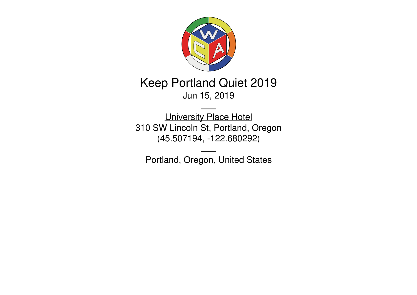

# Keep Portland Quiet 2019 Jun 15, 2019

[University](https://www.uplacehotel.com/) Place Hotel 310 SW Lincoln St, Portland, Oregon (45.507194, [-122.680292](https://www.google.com/maps/place/45.507194,-122.680292))

Portland, Oregon, United States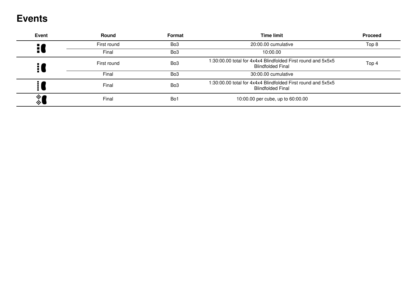## **Events**

| <b>Event</b>     | Round       | Format          | <b>Time limit</b>                                                                                 | <b>Proceed</b> |
|------------------|-------------|-----------------|---------------------------------------------------------------------------------------------------|----------------|
| H)               | First round | Bo <sub>3</sub> | 20:00.00 cumulative                                                                               | Top 8          |
|                  | Final       | Bo <sub>3</sub> | 10:00.00                                                                                          |                |
|                  | First round | Bo <sub>3</sub> | 1:30:00.00 total for 4x4x4 Blindfolded First round and 5x5x5<br>Top 4<br><b>Blindfolded Final</b> |                |
|                  | Final       | Bo <sub>3</sub> | 30:00.00 cumulative                                                                               |                |
|                  | Final       | Bo <sub>3</sub> | 1:30:00.00 total for 4x4x4 Blindfolded First round and 5x5x5<br><b>Blindfolded Final</b>          |                |
| $\frac{1}{\phi}$ | Final       | Bo <sub>1</sub> | 10:00.00 per cube, up to 60:00.00                                                                 |                |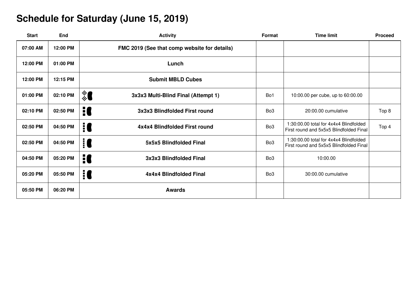## **Schedule for Saturday (June 15, 2019)**

| <b>Start</b> | End      | <b>Activity</b>                              | Format          | <b>Time limit</b>                                                                 | <b>Proceed</b> |
|--------------|----------|----------------------------------------------|-----------------|-----------------------------------------------------------------------------------|----------------|
| 07:00 AM     | 12:00 PM | FMC 2019 (See that comp website for details) |                 |                                                                                   |                |
| 12:00 PM     | 01:00 PM | Lunch                                        |                 |                                                                                   |                |
| 12:00 PM     | 12:15 PM | <b>Submit MBLD Cubes</b>                     |                 |                                                                                   |                |
| 01:00 PM     | 02:10 PM | ▒ ▌<br>3x3x3 Multi-Blind Final (Attempt 1)   | Bo1             | 10:00.00 per cube, up to 60:00.00                                                 |                |
| 02:10 PM     | 02:50 PM | H<br>3x3x3 Blindfolded First round           | Bo <sub>3</sub> | 20:00.00 cumulative                                                               | Top 8          |
| 02:50 PM     | 04:50 PM | iC<br>4x4x4 Blindfolded First round          | Bo <sub>3</sub> | 1:30:00.00 total for 4x4x4 Blindfolded<br>First round and 5x5x5 Blindfolded Final | Top 4          |
| 02:50 PM     | 04:50 PM | 10<br>5x5x5 Blindfolded Final                | Bo <sub>3</sub> | 1:30:00.00 total for 4x4x4 Blindfolded<br>First round and 5x5x5 Blindfolded Final |                |
| 04:50 PM     | 05:20 PM | H<br>3x3x3 Blindfolded Final                 | Bo <sub>3</sub> | 10:00.00                                                                          |                |
| 05:20 PM     | 05:50 PM | 10<br>4x4x4 Blindfolded Final                | Bo <sub>3</sub> | 30:00.00 cumulative                                                               |                |
| 05:50 PM     | 06:20 PM | <b>Awards</b>                                |                 |                                                                                   |                |